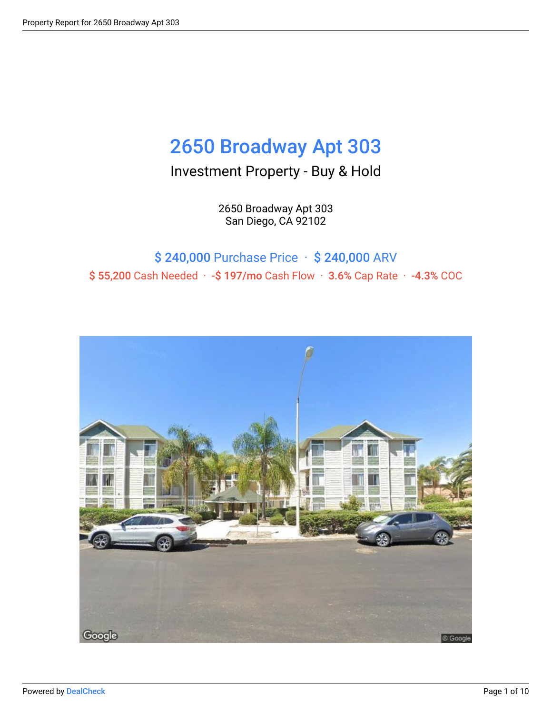# 2650 Broadway Apt 303

### Investment Property - Buy & Hold

2650 Broadway Apt 303 San Diego, CA 92102

### \$ 240,000 Purchase Price · \$ 240,000 ARV \$ 55,200 Cash Needed · -\$ 197/mo Cash Flow · 3.6% Cap Rate · -4.3% COC

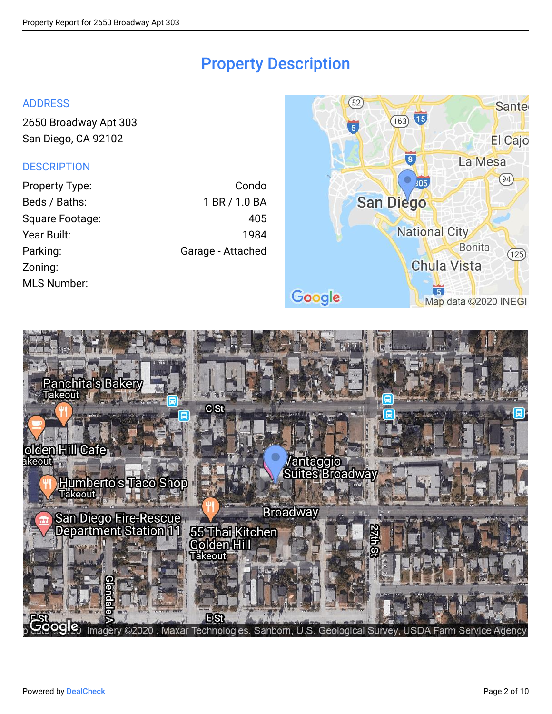### Property Description

#### ADDRESS

[2650 Broadway Apt 303](http://maps.google.com/maps?z=15&t=m&q=2650%20Broadway%20Apt%20303%2CSan%20Diego%2CCA%2C92102) [San Diego, CA 92102](http://maps.google.com/maps?z=15&t=m&q=2650%20Broadway%20Apt%20303%2CSan%20Diego%2CCA%2C92102)

### **DESCRIPTION**

| Property Type:     | Condo             |
|--------------------|-------------------|
| Beds / Baths:      | 1 BR / 1.0 BA     |
| Square Footage:    | 405               |
| Year Built:        | 1984              |
| Parking:           | Garage - Attached |
| Zoning:            |                   |
| <b>MLS Number:</b> |                   |



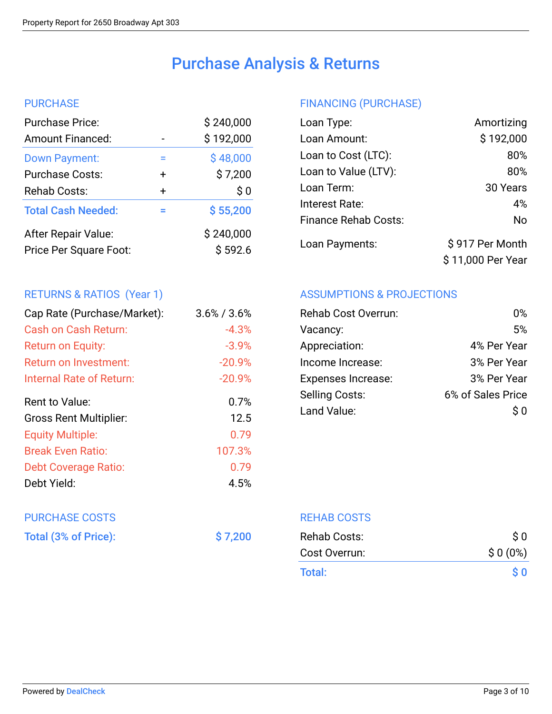## Purchase Analysis & Returns

### **PURCHASE**

| <b>Purchase Price:</b>                        |           | \$240,000            |
|-----------------------------------------------|-----------|----------------------|
| <b>Amount Financed:</b>                       |           | \$192,000            |
| <b>Down Payment:</b>                          | =         | \$48,000             |
| <b>Purchase Costs:</b>                        | $\ddot{}$ | \$7,200              |
| Rehab Costs:                                  | $\div$    | \$0                  |
| <b>Total Cash Needed:</b>                     | ═         | \$55,200             |
| After Repair Value:<br>Price Per Square Foot: |           | \$240,000<br>\$592.6 |
|                                               |           |                      |

### RETURNS & RATIOS (Year 1)

| Cap Rate (Purchase/Market):   | $3.6\%$ / $3.6\%$ |
|-------------------------------|-------------------|
| Cash on Cash Return:          | $-4.3%$           |
| Return on Equity:             | $-3.9%$           |
| Return on Investment:         | $-20.9%$          |
| Internal Rate of Return:      | $-20.9%$          |
| Rent to Value:                | 0.7%              |
| <b>Gross Rent Multiplier:</b> | 12.5              |
| <b>Equity Multiple:</b>       | 0.79              |
| <b>Break Even Ratio:</b>      | 107.3%            |
| Debt Coverage Ratio:          | 0.79              |
| Debt Yield:                   | 4.5%              |

# PURCHASE COSTS

Total (3% of Price):  $\frac{1}{2}$  \$7,200

### FINANCING (PURCHASE)

| Loan Type:                  | Amortizing        |
|-----------------------------|-------------------|
| Loan Amount:                | \$192,000         |
| Loan to Cost (LTC):         | 80%               |
| Loan to Value (LTV):        | 80%               |
| Loan Term:                  | 30 Years          |
| Interest Rate:              | 4%                |
| <b>Finance Rehab Costs:</b> | No                |
| Loan Payments:              | \$917 Per Month   |
|                             | \$11,000 Per Year |

### ASSUMPTIONS & PROJECTIONS

| <b>Rehab Cost Overrun:</b> | በ%                |
|----------------------------|-------------------|
| Vacancy:                   | 5%                |
| Appreciation:              | 4% Per Year       |
| Income Increase:           | 3% Per Year       |
| <b>Expenses Increase:</b>  | 3% Per Year       |
| <b>Selling Costs:</b>      | 6% of Sales Price |
| Land Value:                | S O               |
|                            |                   |

REHAB COSTS

| Rehab Costs:  | $\mathsf{S} \, \mathsf{O}$      |
|---------------|---------------------------------|
| Cost Overrun: | $$0(0\%)$                       |
| Total:        | $\mathbf{\hat{S}}$ $\mathbf{0}$ |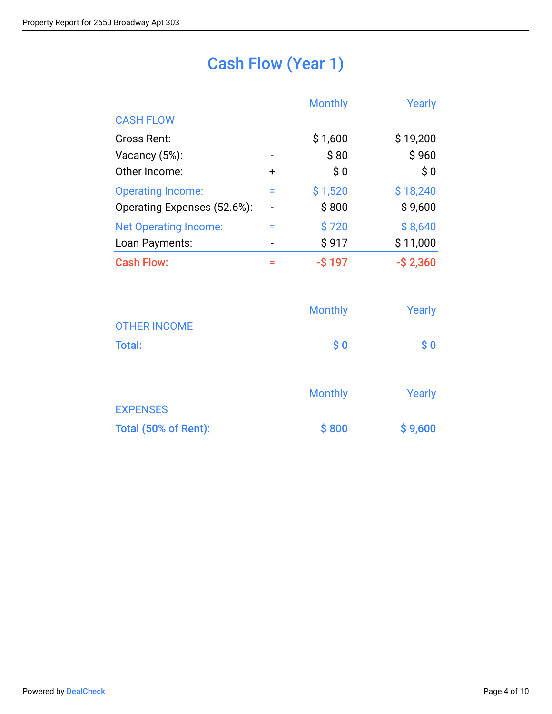# Cash Flow (Year 1)

|                              |           | <b>Monthly</b> | Yearly      |
|------------------------------|-----------|----------------|-------------|
| <b>CASH FLOW</b>             |           |                |             |
| Gross Rent:                  |           | \$1,600        | \$19,200    |
| Vacancy (5%):                |           | \$80           | \$960       |
| Other Income:                | $\ddot{}$ | \$0            | \$0         |
| <b>Operating Income:</b>     | Ξ         | \$1,520        | \$18,240    |
| Operating Expenses (52.6%):  |           | \$800          | \$9,600     |
| <b>Net Operating Income:</b> |           | \$720          | \$8,640     |
| Loan Payments:               |           | \$917          | \$11,000    |
| <b>Cash Flow:</b>            | Ξ         | $-$ \$197      | $-$ \$2,360 |

|                      | <b>Monthly</b>                                   | Yearly                                           |
|----------------------|--------------------------------------------------|--------------------------------------------------|
| <b>OTHER INCOME</b>  |                                                  |                                                  |
| <b>Total:</b>        | $\boldsymbol{\mathsf{S}}\boldsymbol{\mathsf{0}}$ | $\boldsymbol{\mathsf{S}}\boldsymbol{\mathsf{0}}$ |
|                      |                                                  |                                                  |
|                      | <b>Monthly</b>                                   | Yearly                                           |
| <b>EXPENSES</b>      |                                                  |                                                  |
| Total (50% of Rent): | \$800                                            | \$9,600                                          |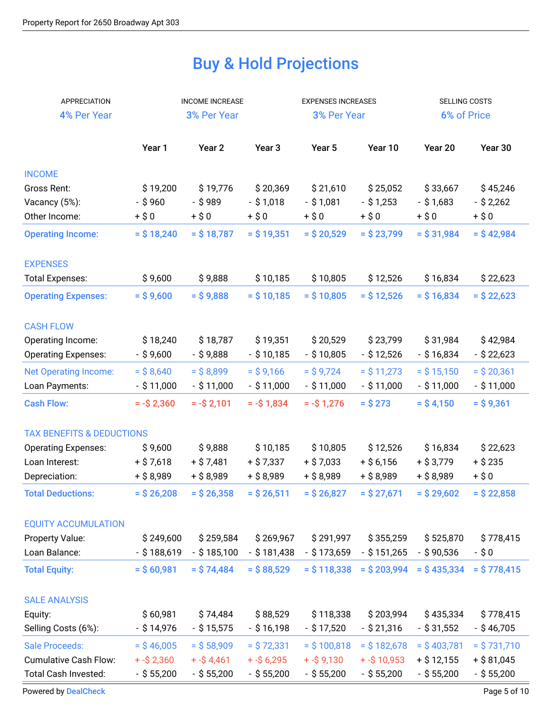# Buy & Hold Projections

| APPRECIATION                         | <b>INCOME INCREASE</b> |                   |                   | <b>EXPENSES INCREASES</b> |                | SELLING COSTS |               |
|--------------------------------------|------------------------|-------------------|-------------------|---------------------------|----------------|---------------|---------------|
| 4% Per Year                          |                        | 3% Per Year       |                   | 3% Per Year               |                | 6% of Price   |               |
|                                      |                        |                   |                   |                           |                |               |               |
|                                      | Year 1                 | Year <sub>2</sub> | Year <sub>3</sub> | Year 5                    | Year 10        | Year 20       | Year 30       |
| <b>INCOME</b>                        |                        |                   |                   |                           |                |               |               |
| Gross Rent:                          | \$19,200               | \$19,776          | \$20,369          | \$21,610                  | \$25,052       | \$33,667      | \$45,246      |
| Vacancy (5%):                        | $-$ \$960              | $-$ \$989         | $-$ \$1,018       | $-$ \$1,081               | $-$ \$ 1,253   | $-$ \$ 1,683  | $-$ \$ 2,262  |
| Other Income:                        | $+ $0$                 | $+ $0$            | $+$ \$0           | $+ $0$                    | $+ $0$         | $+$ \$0       | $+$ \$0       |
| <b>Operating Income:</b>             | $=$ \$ 18,240          | $=$ \$ 18,787     | $=$ \$ 19,351     | $=$ \$ 20,529             | $=$ \$ 23,799  | $=$ \$ 31,984 | $=$ \$42,984  |
| <b>EXPENSES</b>                      |                        |                   |                   |                           |                |               |               |
| <b>Total Expenses:</b>               | \$9,600                | \$9,888           | \$10,185          | \$10,805                  | \$12,526       | \$16,834      | \$22,623      |
| <b>Operating Expenses:</b>           | $=$ \$9,600            | $=$ \$9,888       | $=$ \$10,185      | $=$ \$10,805              | $=$ \$ 12,526  | $=$ \$ 16,834 | $=$ \$ 22,623 |
| <b>CASH FLOW</b>                     |                        |                   |                   |                           |                |               |               |
| Operating Income:                    | \$18,240               | \$18,787          | \$19,351          | \$20,529                  | \$23,799       | \$31,984      | \$42,984      |
| <b>Operating Expenses:</b>           | - \$9,600              | - \$9,888         | $-$ \$ 10,185     | $-$ \$10,805              | $-$ \$ 12,526  | - \$16,834    | $-$ \$ 22,623 |
| <b>Net Operating Income:</b>         | $=$ \$8,640            | $=$ \$8,899       | $=$ \$9,166       | $=$ \$9,724               | $=$ \$ 11,273  | $=$ \$ 15,150 | $=$ \$ 20,361 |
| Loan Payments:                       | $-$ \$11,000           | $-$ \$11,000      | $-$ \$11,000      | $-$ \$11,000              | $-$ \$11,000   | $-$ \$11,000  | $-$ \$11,000  |
| <b>Cash Flow:</b>                    | $= -\$ 2,360$          | $= -\$ {5} 2,101  | $= -\$ 1,834$     | $= -\$ {5} 1,276          | $=$ \$ 273     | $=$ \$4,150   | $=$ \$9,361   |
| <b>TAX BENEFITS &amp; DEDUCTIONS</b> |                        |                   |                   |                           |                |               |               |
| <b>Operating Expenses:</b>           | \$9,600                | \$9,888           | \$10,185          | \$10,805                  | \$12,526       | \$16,834      | \$22,623      |
| Loan Interest:                       | $+$ \$ 7,618           | $+ $7,481$        | $+$ \$ 7,337      | $+$ \$ 7,033              | $+$ \$ 6,156   | $+$ \$ 3,779  | $+$ \$ 235    |
| Depreciation:                        | $+$ \$ 8,989           | $+$ \$ 8,989      | + \$ 8,989        | $+$ \$ 8,989              | $+$ \$ 8,989   | $+$ \$ 8,989  | $+$ \$0       |
| <b>Total Deductions:</b>             | $=$ \$ 26,208          | $=$ \$ 26,358     | $=$ \$ 26,511     | $=$ \$ 26,827             | $=$ \$ 27,671  | $=$ \$ 29,602 | $=$ \$ 22,858 |
| <b>EQUITY ACCUMULATION</b>           |                        |                   |                   |                           |                |               |               |
| Property Value:                      | \$249,600              | \$259,584         | \$269,967         | \$291,997                 | \$355,259      | \$525,870     | \$778,415     |
| Loan Balance:                        | $-$ \$188,619          | $-$ \$185,100     | $-$ \$181,438     | $-$ \$ 173,659            | $-$ \$ 151,265 | $-$ \$90,536  | -\$0          |
| <b>Total Equity:</b>                 | $=$ \$ 60,981          | $=$ \$74,484      | $=$ \$88,529      | $=$ \$ 118,338            | $=$ \$ 203,994 | $=$ \$435,334 | $=$ \$778,415 |
| <b>SALE ANALYSIS</b>                 |                        |                   |                   |                           |                |               |               |
| Equity:                              | \$60,981               | \$74,484          | \$88,529          | \$118,338                 | \$203,994      | \$435,334     | \$778,415     |
| Selling Costs (6%):                  | $-$ \$14,976           | $-$ \$ 15,575     | $-$ \$16,198      | $-$ \$ 17,520             | $-$ \$ 21,316  | $-$ \$ 31,552 | $-$ \$46,705  |
| <b>Sale Proceeds:</b>                | $=$ \$46,005           | $=$ \$ 58,909     | $=$ \$72,331      | $=$ \$100,818             | $=$ \$ 182,678 | $=$ \$403,781 | $=$ \$731,710 |
| <b>Cumulative Cash Flow:</b>         | $+ - $2,360$           | $+ - $4,461$      | $+ - $6,295$      | $+ - $9,130$              | $+ - $10,953$  | $+$ \$ 12,155 | $+$ \$ 81,045 |
| Total Cash Invested:                 | $-$ \$ 55,200          | $-$ \$ 55,200     | $-$ \$ 55,200     | $-$ \$ 55,200             | $-$ \$ 55,200  | $-$ \$ 55,200 | $-$ \$ 55,200 |

[Powered by](https://dealcheck.io/?utm_source=Property%20Reports&utm_medium=PDF&utm_campaign=Property%20Reports) [DealCheck](https://dealcheck.io/?utm_source=Property%20Reports&utm_medium=PDF&utm_campaign=Property%20Reports) Page 5 of 10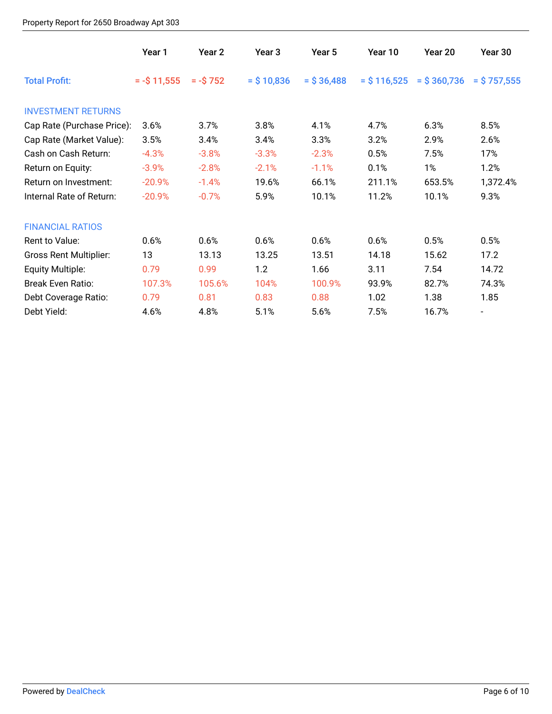### Property Report for 2650 Broadway Apt 303

|                               | Year 1        | Year 2         | Year 3        | Year 5        | Year 10       | Year 20        | Year 30        |
|-------------------------------|---------------|----------------|---------------|---------------|---------------|----------------|----------------|
| <b>Total Profit:</b>          | $= -\$ 11,555 | $= -\$ {5} 752 | $=$ \$ 10,836 | $=$ \$ 36,488 | $=$ \$116,525 | $=$ \$ 360,736 | $=$ \$ 757,555 |
| <b>INVESTMENT RETURNS</b>     |               |                |               |               |               |                |                |
| Cap Rate (Purchase Price):    | 3.6%          | 3.7%           | 3.8%          | 4.1%          | 4.7%          | 6.3%           | 8.5%           |
| Cap Rate (Market Value):      | 3.5%          | 3.4%           | 3.4%          | 3.3%          | 3.2%          | 2.9%           | 2.6%           |
| Cash on Cash Return:          | $-4.3%$       | $-3.8%$        | $-3.3%$       | $-2.3%$       | 0.5%          | 7.5%           | 17%            |
| Return on Equity:             | $-3.9%$       | $-2.8%$        | $-2.1%$       | $-1.1%$       | 0.1%          | 1%             | 1.2%           |
| Return on Investment:         | $-20.9%$      | $-1.4%$        | 19.6%         | 66.1%         | 211.1%        | 653.5%         | 1,372.4%       |
| Internal Rate of Return:      | $-20.9%$      | $-0.7%$        | 5.9%          | 10.1%         | 11.2%         | 10.1%          | 9.3%           |
| <b>FINANCIAL RATIOS</b>       |               |                |               |               |               |                |                |
| Rent to Value:                | 0.6%          | 0.6%           | 0.6%          | 0.6%          | 0.6%          | 0.5%           | 0.5%           |
| <b>Gross Rent Multiplier:</b> | 13            | 13.13          | 13.25         | 13.51         | 14.18         | 15.62          | 17.2           |
| Equity Multiple:              | 0.79          | 0.99           | 1.2           | 1.66          | 3.11          | 7.54           | 14.72          |
| <b>Break Even Ratio:</b>      | 107.3%        | 105.6%         | 104%          | 100.9%        | 93.9%         | 82.7%          | 74.3%          |
| Debt Coverage Ratio:          | 0.79          | 0.81           | 0.83          | 0.88          | 1.02          | 1.38           | 1.85           |
| Debt Yield:                   | 4.6%          | 4.8%           | 5.1%          | 5.6%          | 7.5%          | 16.7%          |                |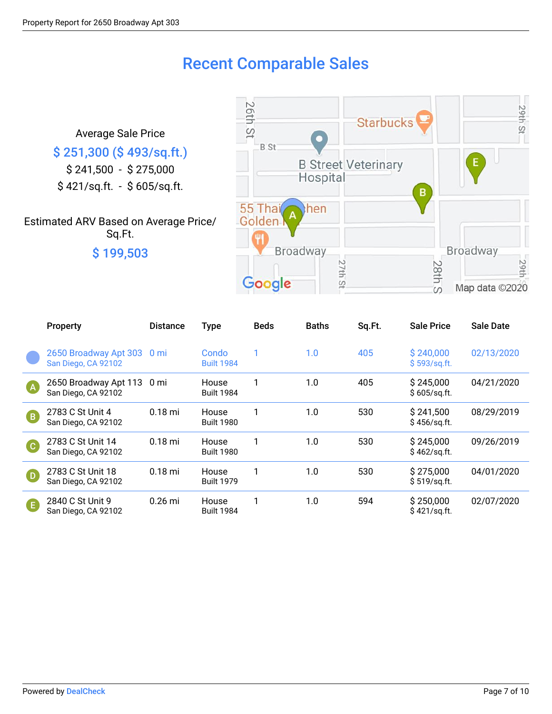### Recent Comparable Sales

Average Sale Price \$ 251,300 (\$ 493/sq.ft.) \$ 241,500 - \$ 275,000 \$ 421/sq.ft. - \$ 605/sq.ft.

Estimated ARV Based on Average Price/ Sq.Ft. \$ 199,503



|            | <b>Property</b>                                   | <b>Distance</b> | <b>Type</b>                | <b>Beds</b> | <b>Baths</b> | Sq.Ft. | <b>Sale Price</b>          | <b>Sale Date</b> |
|------------|---------------------------------------------------|-----------------|----------------------------|-------------|--------------|--------|----------------------------|------------------|
|            | 2650 Broadway Apt 303<br>San Diego, CA 92102      | 0 <sub>mi</sub> | Condo<br><b>Built 1984</b> |             | 1.0          | 405    | \$240,000<br>\$593/sq.ft.  | 02/13/2020       |
| A          | 2650 Broadway Apt 113 0 mi<br>San Diego, CA 92102 |                 | House<br><b>Built 1984</b> |             | 1.0          | 405    | \$245,000<br>\$605/sq.ft.  | 04/21/2020       |
| <b>B</b>   | 2783 C St Unit 4<br>San Diego, CA 92102           | $0.18$ mi       | House<br><b>Built 1980</b> |             | 1.0          | 530    | \$241,500<br>\$456/sq.ft.  | 08/29/2019       |
| G          | 2783 C St Unit 14<br>San Diego, CA 92102          | $0.18$ mi       | House<br><b>Built 1980</b> |             | 1.0          | 530    | \$245,000<br>\$462/sq.ft.  | 09/26/2019       |
| $\bigcirc$ | 2783 C St Unit 18<br>San Diego, CA 92102          | $0.18$ mi       | House<br><b>Built 1979</b> |             | 1.0          | 530    | \$275,000<br>\$519/sq.fit. | 04/01/2020       |
| G          | 2840 C St Unit 9<br>San Diego, CA 92102           | $0.26$ mi       | House<br><b>Built 1984</b> |             | 1.0          | 594    | \$250,000<br>\$421/sq.fit. | 02/07/2020       |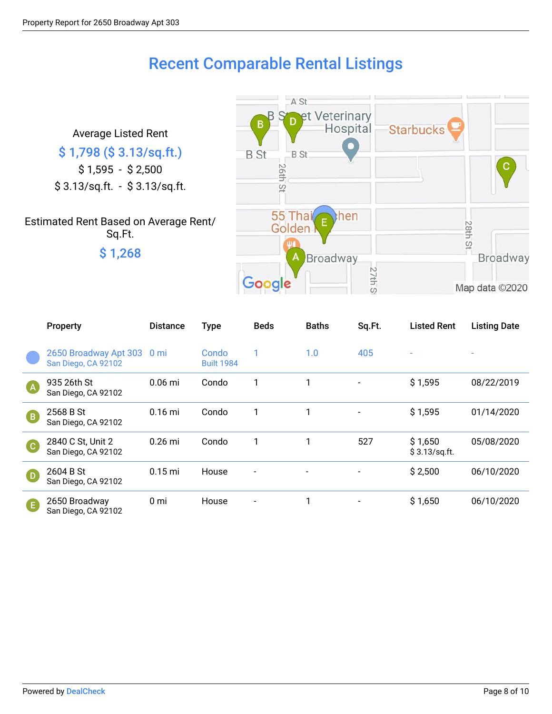## Recent Comparable Rental Listings

A St

et Veterinary B Hospital **Starbucks** Average Listed Rent \$ 1,798 (\$ 3.13/sq.ft.) **B** St **B** St \$ 1,595 - \$ 2,500 **26th St** \$ 3.13/sq.ft. - \$ 3.13/sq.ft. 55 Tha then Estimated Rent Based on Average Rent/ **28th St** Golden Sq.Ft. \$ 1,268 **Broadway** A **Broadway** 27th St Google Map data ©2020

|           | Property                                          | <b>Distance</b> | <b>Type</b>                | <b>Beds</b>              | <b>Baths</b> | Sq.Ft. | <b>Listed Rent</b>        | <b>Listing Date</b> |
|-----------|---------------------------------------------------|-----------------|----------------------------|--------------------------|--------------|--------|---------------------------|---------------------|
|           | 2650 Broadway Apt 303 0 mi<br>San Diego, CA 92102 |                 | Condo<br><b>Built 1984</b> | 1                        | 1.0          | 405    |                           |                     |
| <b>A</b>  | 935 26th St<br>San Diego, CA 92102                | $0.06$ mi       | Condo                      | 1                        | 1            |        | \$1,595                   | 08/22/2019          |
| <b>B</b>  | 2568 B St<br>San Diego, CA 92102                  | $0.16$ mi       | Condo                      | 1                        | 1            |        | \$1,595                   | 01/14/2020          |
| $\bullet$ | 2840 C St, Unit 2<br>San Diego, CA 92102          | $0.26$ mi       | Condo                      | 1                        | 1            | 527    | \$1,650<br>\$3.13/sq.fit. | 05/08/2020          |
| $\bigcap$ | 2604 B St<br>San Diego, CA 92102                  | $0.15$ mi       | House                      | $\overline{\phantom{a}}$ |              |        | \$2,500                   | 06/10/2020          |
| G         | 2650 Broadway<br>San Diego, CA 92102              | 0 mi            | House                      |                          | 1            |        | \$1,650                   | 06/10/2020          |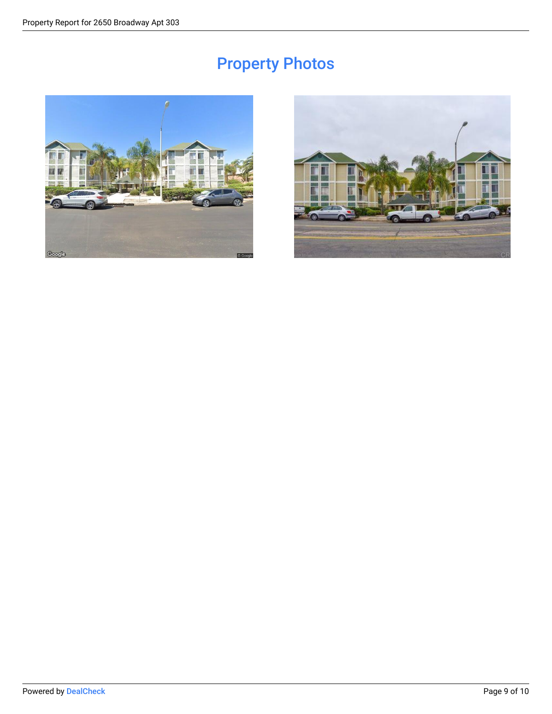# Property Photos